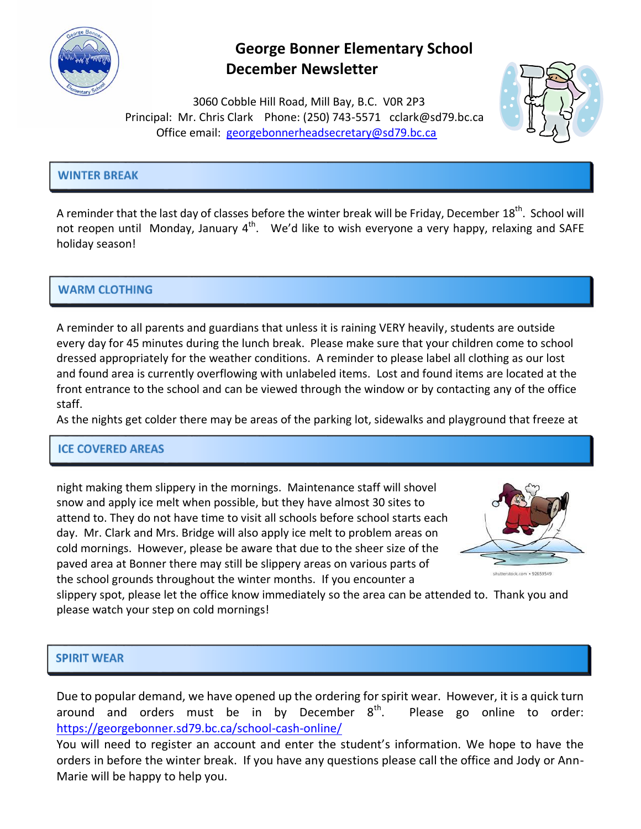

## **George Bonner Elementary School December Newsletter**

 3060 Cobble Hill Road, Mill Bay, B.C. V0R 2P3 Principal: Mr. Chris Clark Phone: (250) 743-5571 [cclark@sd79.bc.ca](mailto:cclark@sd79.bc.ca) Office email: [georgebonnerheadsecretary@sd79.bc.ca](mailto:georgebonnerheadsecretary@sd79.bc.ca)



## **WINTER BREAK**

A reminder that the last day of classes before the winter break will be Friday, December 18<sup>th</sup>. School will not reopen until Monday, January  $4^{\text{th}}$ . We'd like to wish everyone a very happy, relaxing and SAFE holiday season!

## **WARM CLOTHING**

A reminder to all parents and guardians that unless it is raining VERY heavily, students are outside every day for 45 minutes during the lunch break. Please make sure that your children come to school dressed appropriately for the weather conditions. A reminder to please label all clothing as our lost and found area is currently overflowing with unlabeled items. Lost and found items are located at the front entrance to the school and can be viewed through the window or by contacting any of the office staff.

As the nights get colder there may be areas of the parking lot, sidewalks and playground that freeze at

## **ICE COVERED AREAS**

night making them slippery in the mornings. Maintenance staff will shovel snow and apply ice melt when possible, but they have almost 30 sites to attend to. They do not have time to visit all schools before school starts each day. Mr. Clark and Mrs. Bridge will also apply ice melt to problem areas on cold mornings. However, please be aware that due to the sheer size of the paved area at Bonner there may still be slippery areas on various parts of the school grounds throughout the winter months. If you encounter a



slippery spot, please let the office know immediately so the area can be attended to. Thank you and please watch your step on cold mornings!

#### **SPIRIT WEAR**

Due to popular demand, we have opened up the ordering for spirit wear. However, it is a quick turn around and orders must be in by December  $8<sup>th</sup>$ . Please go online to order: <https://georgebonner.sd79.bc.ca/school-cash-online/>

You will need to register an account and enter the student's information. We hope to have the orders in before the winter break. If you have any questions please call the office and Jody or Ann-Marie will be happy to help you.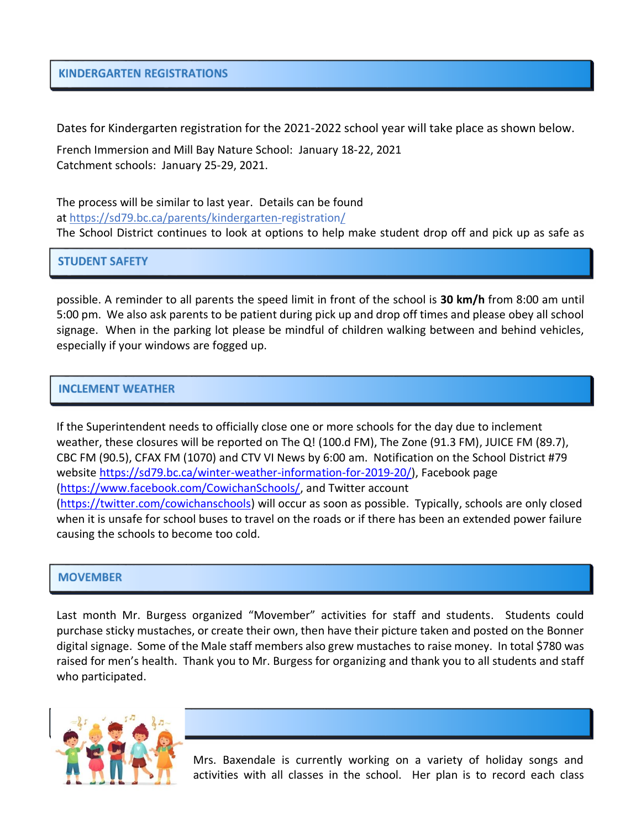#### **KINDERGARTEN REGISTRATIONS**

Dates for Kindergarten registration for the 2021-2022 school year will take place as shown below.

French Immersion and Mill Bay Nature School: January 18-22, 2021 Catchment schools: January 25-29, 2021.

The process will be similar to last year. Details can be found at <https://sd79.bc.ca/parents/kindergarten-registration/> The School District continues to look at options to help make student drop off and pick up as safe as

**STUDENT SAFETY** 

possible. A reminder to all parents the speed limit in front of the school is **30 km/h** from 8:00 am until 5:00 pm. We also ask parents to be patient during pick up and drop off times and please obey all school signage. When in the parking lot please be mindful of children walking between and behind vehicles, especially if your windows are fogged up.

#### **INCLEMENT WEATHER**

If the Superintendent needs to officially close one or more schools for the day due to inclement weather, these closures will be reported on The Q! (100.d FM), The Zone (91.3 FM), JUICE FM (89.7), CBC FM (90.5), CFAX FM (1070) and CTV VI News by 6:00 am. Notification on the School District #79 website [https://sd79.bc.ca/winter-weather-information-for-2019-20/\)](https://sd79.bc.ca/winter-weather-information-for-2019-20/), Facebook page [\(https://www.facebook.com/CowichanSchools/,](https://www.facebook.com/CowichanSchools/) and Twitter account [\(https://twitter.com/cowichanschools\)](https://twitter.com/cowichanschools) will occur as soon as possible. Typically, schools are only closed when it is unsafe for school buses to travel on the roads or if there has been an extended power failure causing the schools to become too cold.

#### **MOVEMBER**

Last month Mr. Burgess organized "Movember" activities for staff and students. Students could purchase sticky mustaches, or create their own, then have their picture taken and posted on the Bonner digital signage. Some of the Male staff members also grew mustaches to raise money. In total \$780 was raised for men's health. Thank you to Mr. Burgess for organizing and thank you to all students and staff who participated.



Mrs. Baxendale is currently working on a variety of holiday songs and activities with all classes in the school. Her plan is to record each class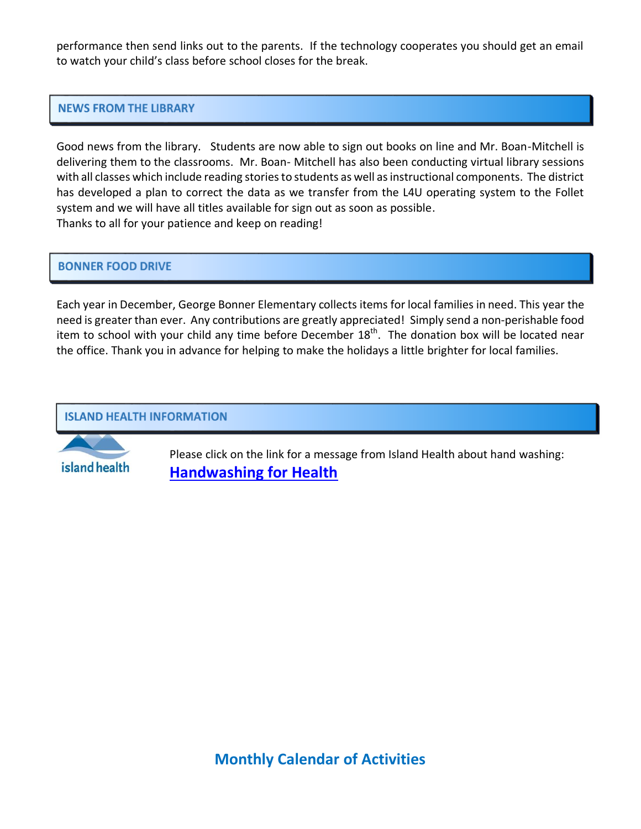performance then send links out to the parents. If the technology cooperates you should get an email to watch your child's class before school closes for the break.

#### **NEWS FROM THE LIBRARY**

Good news from the library. Students are now able to sign out books on line and Mr. Boan-Mitchell is delivering them to the classrooms. Mr. Boan- Mitchell has also been conducting virtual library sessions with all classes which include reading stories to students as well as instructional components. The district has developed a plan to correct the data as we transfer from the L4U operating system to the Follet system and we will have all titles available for sign out as soon as possible. Thanks to all for your patience and keep on reading!

#### **BONNER FOOD DRIVE**

Each year in December, George Bonner Elementary collects items for local families in need. This year the need is greater than ever. Any contributions are greatly appreciated! Simply send a non-perishable food item to school with your child any time before December 18<sup>th</sup>. The donation box will be located near the office. Thank you in advance for helping to make the holidays a little brighter for local families.

#### **ISLAND HEALTH INFORMATION**

island health

Please click on the link for a message from Island Health about hand washing: **[Handwashing for Health](../../VIHA%20Newsletter%20inserts/Handwashing%20for%20Health.docx)**